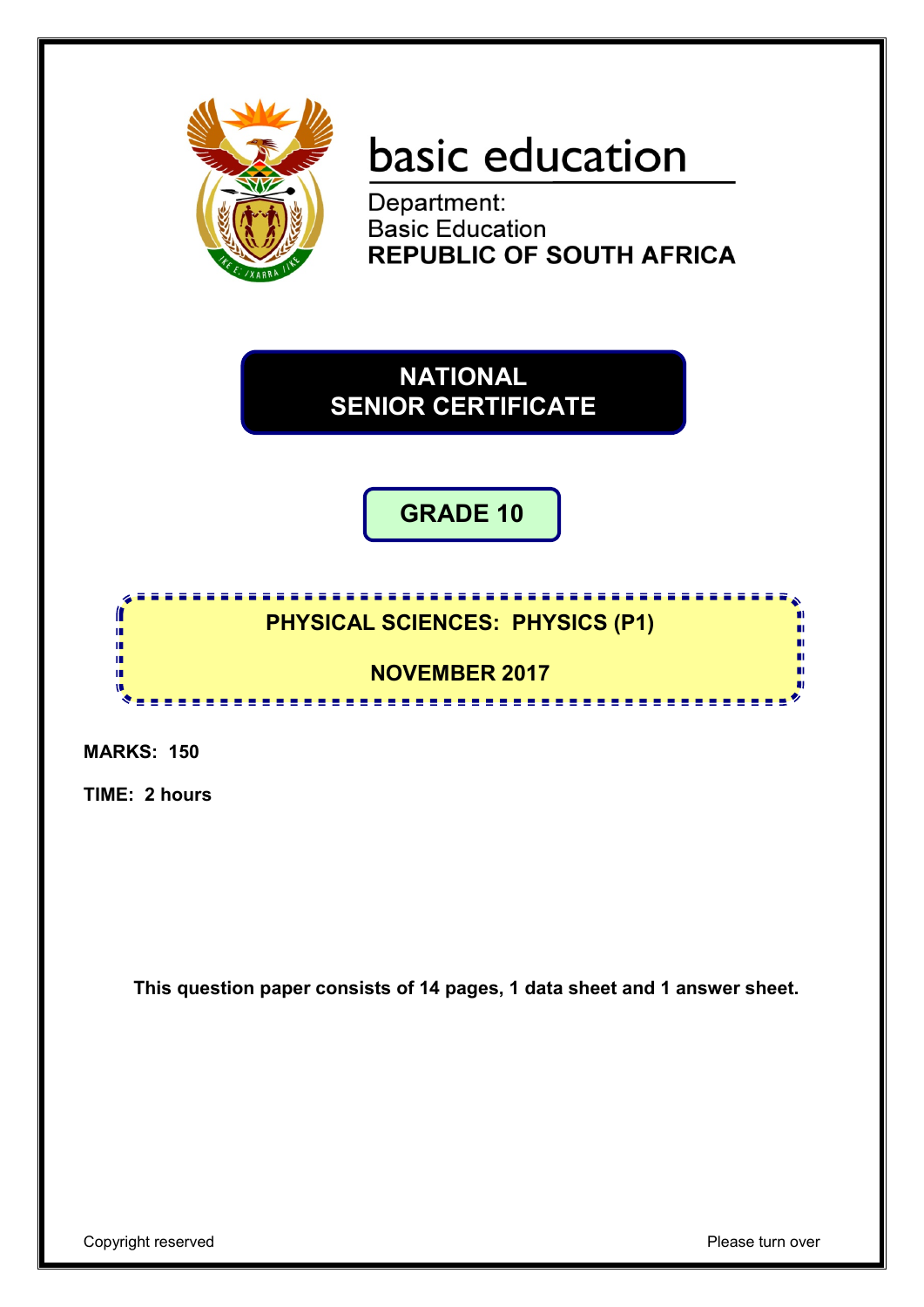

# basic education

Department: **Basic Education REPUBLIC OF SOUTH AFRICA** 

**NATIONAL SENIOR CERTIFICATE**

**GRADE 10**

### **PHYSICAL SCIENCES: PHYSICS (P1) NOVEMBER 2017**

<u>...............</u>

**MARKS: 150**

ſ I. ú œ m

**TIME: 2 hours**

**This question paper consists of 14 pages, 1 data sheet and 1 answer sheet.**

Copyright reserved **Please** turn over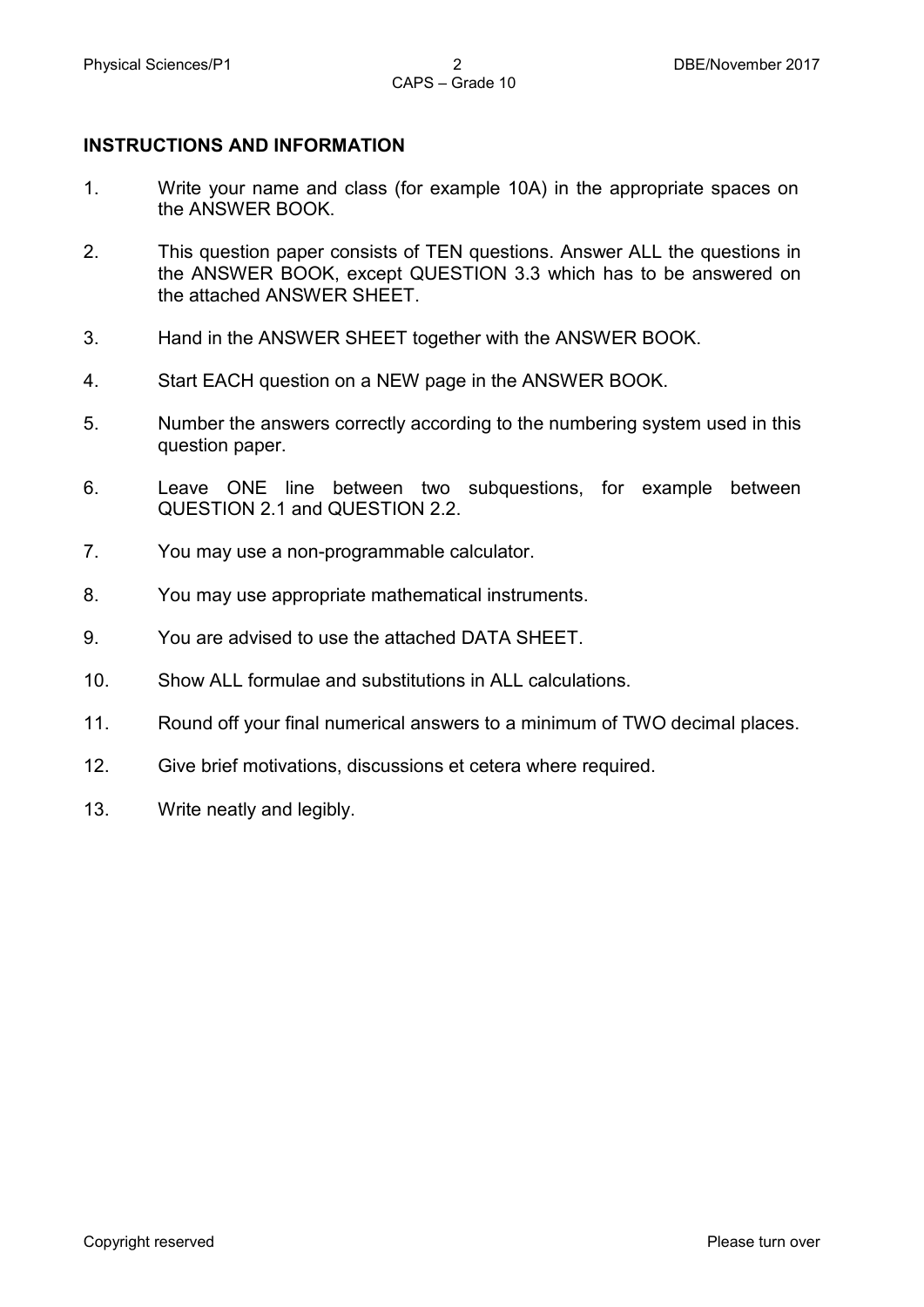#### **INSTRUCTIONS AND INFORMATION**

- 1. Write your name and class (for example 10A) in the appropriate spaces on the ANSWER BOOK.
- 2. This question paper consists of TEN questions. Answer ALL the questions in the ANSWER BOOK, except QUESTION 3.3 which has to be answered on the attached ANSWER SHEET.
- 3. Hand in the ANSWER SHEET together with the ANSWER BOOK.
- 4. Start EACH question on a NEW page in the ANSWER BOOK.
- 5. Number the answers correctly according to the numbering system used in this question paper.
- 6. Leave ONE line between two subquestions, for example between QUESTION 2.1 and QUESTION 2.2.
- 7. You may use a non-programmable calculator.
- 8. You may use appropriate mathematical instruments.
- 9. You are advised to use the attached DATA SHEET.
- 10. Show ALL formulae and substitutions in ALL calculations.
- 11. Round off your final numerical answers to a minimum of TWO decimal places.
- 12. Give brief motivations, discussions et cetera where required.
- 13. Write neatly and legibly.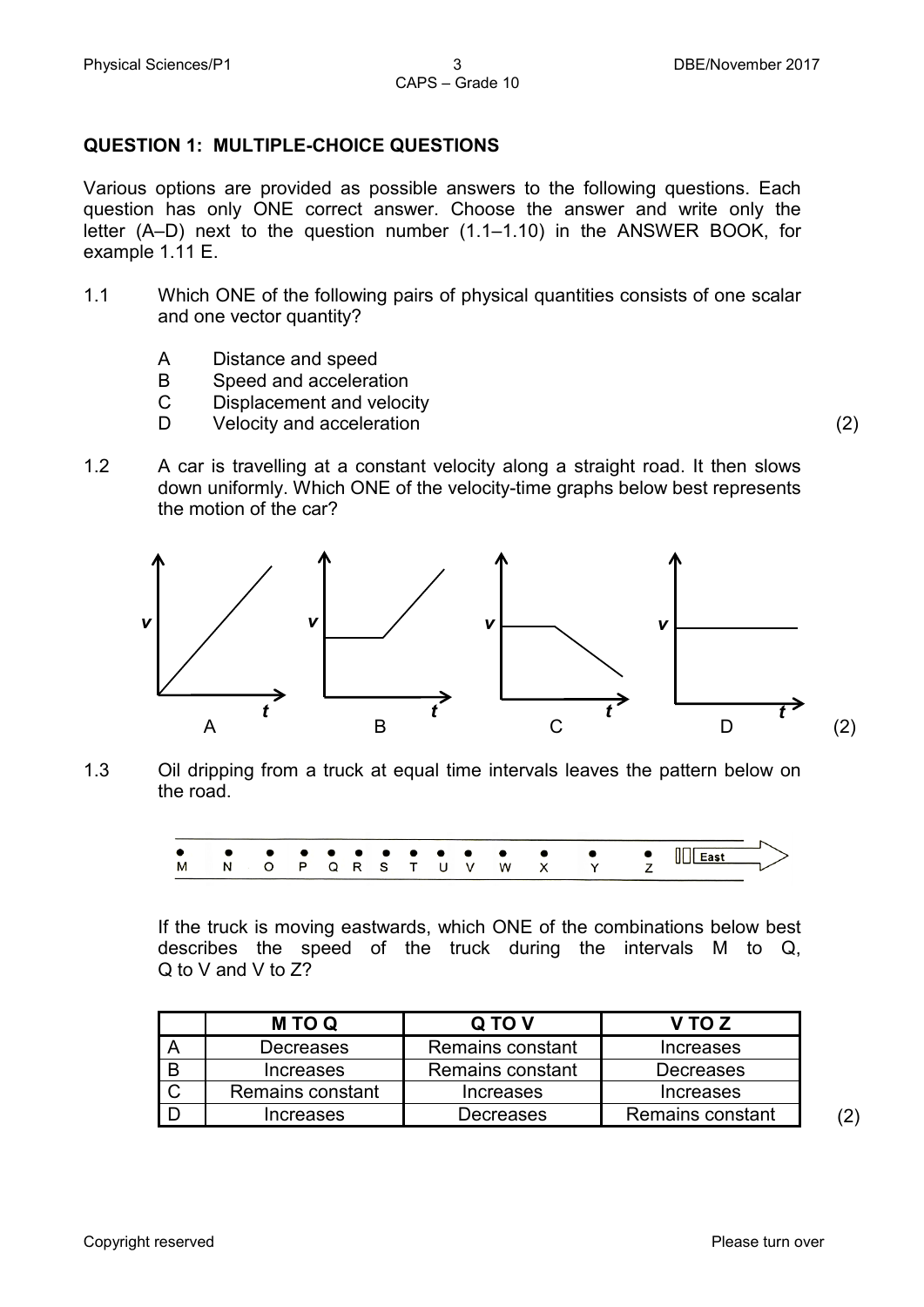#### **QUESTION 1: MULTIPLE-CHOICE QUESTIONS**

Various options are provided as possible answers to the following questions. Each question has only ONE correct answer. Choose the answer and write only the letter (A–D) next to the question number (1.1–1.10) in the ANSWER BOOK, for example 1.11 E.

- 1.1 Which ONE of the following pairs of physical quantities consists of one scalar and one vector quantity?
	- A Distance and speed
	- B Speed and acceleration
	- $\mathcal{C}$ Displacement and velocity
	- D<sub>1</sub> Velocity and acceleration (2)
- 1.2 A car is travelling at a constant velocity along a straight road. It then slows down uniformly. Which ONE of the velocity-time graphs below best represents the motion of the car?



1.3 Oil dripping from a truck at equal time intervals leaves the pattern below on the road.



If the truck is moving eastwards, which ONE of the combinations below best describes the speed of the truck during the intervals M to Q, Q to V and V to Z?

| <b>MTOQ</b>      | Q TO V           | V TO Z           |
|------------------|------------------|------------------|
| Decreases        | Remains constant | <b>Increases</b> |
| <b>Increases</b> | Remains constant | Decreases        |
| Remains constant | Increases        | Increases        |
| Increases        | Decreases        | Remains constant |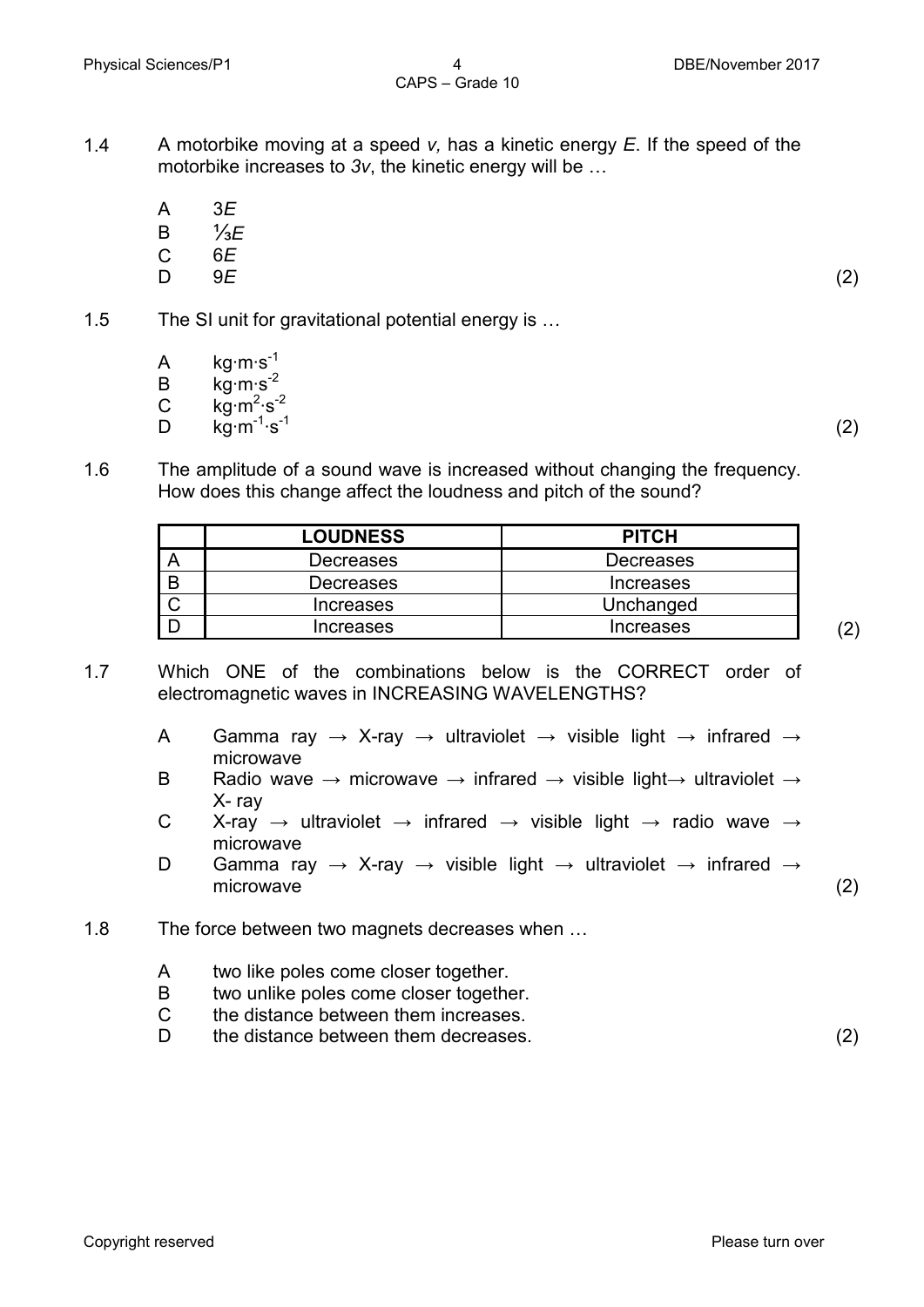- 1.4 A motorbike moving at a speed *v,* has a kinetic energy *E*. If the speed of the motorbike increases to *3v*, the kinetic energy will be …
	- A 3*E*
	- B ⅓*E*
	- $\overline{C}$ 6*E*
	- $\mathsf{D}$ 9*E* (2)
- 1.5 The SI unit for gravitational potential energy is …
	- A kg∙m∙s-1
	- B kg∙m∙s-2
	- $\mathcal{C}$ kg∙m<sup>2</sup>∙s<sup>-2</sup>
	- $\mathsf{D}$  $\overline{\text{ka}}$ ⋅m<sup>-1</sup>⋅s<sup>-1</sup>  $\cdot$ s<sup>-1</sup> (2)
- 1.6 The amplitude of a sound wave is increased without changing the frequency. How does this change affect the loudness and pitch of the sound?

| <b>LOUDNESS</b>  | <b>PITCH</b>     |
|------------------|------------------|
| Decreases        | <b>Decreases</b> |
| Decreases        | <b>Increases</b> |
| <b>Increases</b> | Unchanged        |
| <b>Increases</b> | <b>Increases</b> |

- 1.7 Which ONE of the combinations below is the CORRECT order of electromagnetic waves in INCREASING WAVELENGTHS?
	- A Gamma ray  $\rightarrow$  X-ray  $\rightarrow$  ultraviolet  $\rightarrow$  visible light  $\rightarrow$  infrared  $\rightarrow$ microwave
	- B Radio wave  $\rightarrow$  microwave  $\rightarrow$  infrared  $\rightarrow$  visible light $\rightarrow$  ultraviolet  $\rightarrow$ X- ray
	- C X-ray  $\rightarrow$  ultraviolet  $\rightarrow$  infrared  $\rightarrow$  visible light  $\rightarrow$  radio wave  $\rightarrow$ microwave
	- D Gamma ray  $\rightarrow$  X-ray  $\rightarrow$  visible light  $\rightarrow$  ultraviolet  $\rightarrow$  infrared  $\rightarrow$ microwave (2)
- 1.8 The force between two magnets decreases when …
	- A two like poles come closer together.
	- B two unlike poles come closer together.
	- $\mathcal{C}$ the distance between them increases.
	- D<sub>1</sub> the distance between them decreases. (2)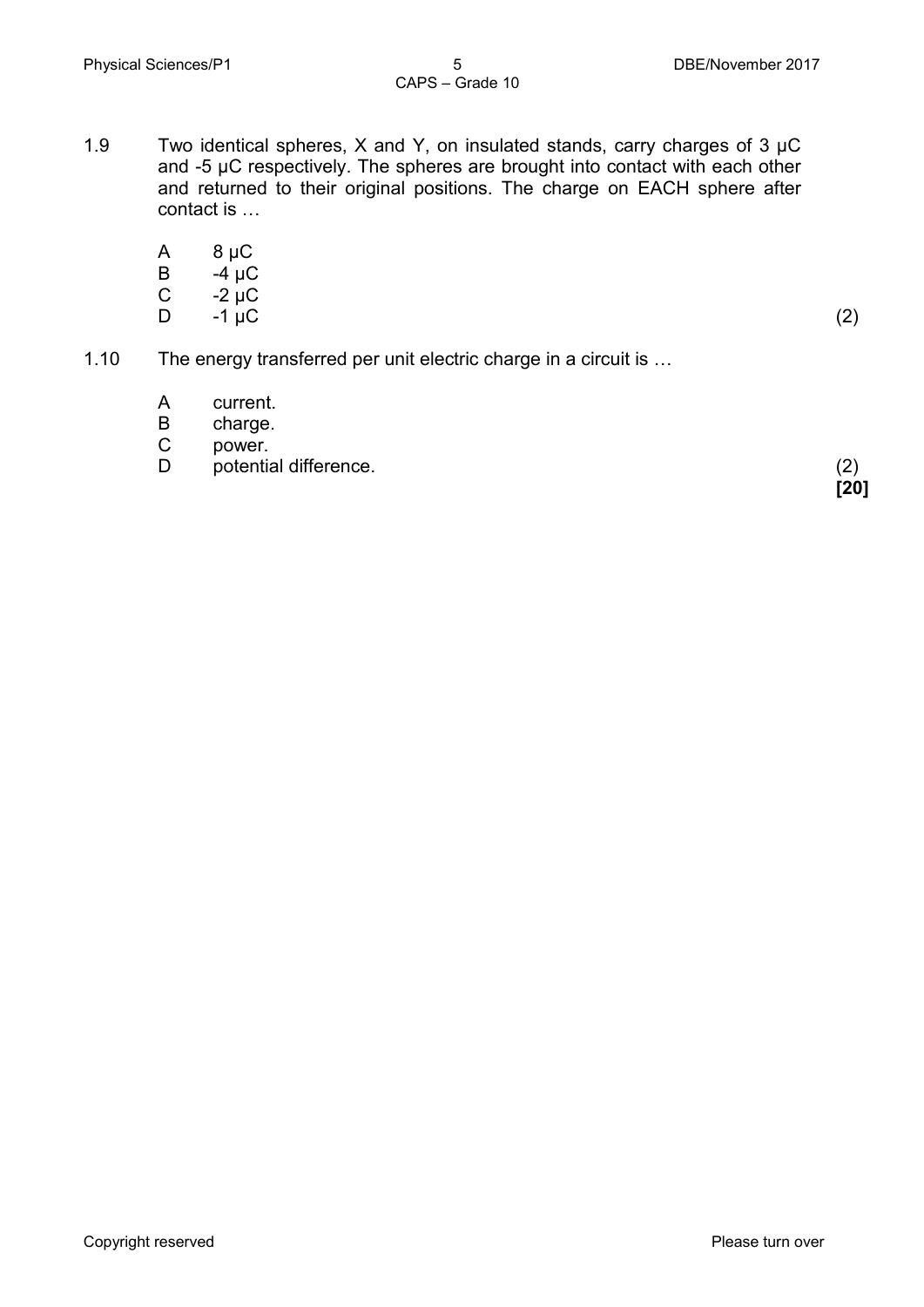- 1.9 Two identical spheres, X and Y, on insulated stands, carry charges of  $3 \mu C$ and -5 µC respectively. The spheres are brought into contact with each other and returned to their original positions. The charge on EACH sphere after contact is …
	- A 8 µC
	- B  $-4$   $\mu$ C
	- C  $-2 \mu C$ <br> $-1 \mu C$
	- D  $-1 \, \mu C$  (2)

**[20]**

- 1.10 The energy transferred per unit electric charge in a circuit is …
	- A current.
	- B charge.
	- C power.
	- D potential difference. (2)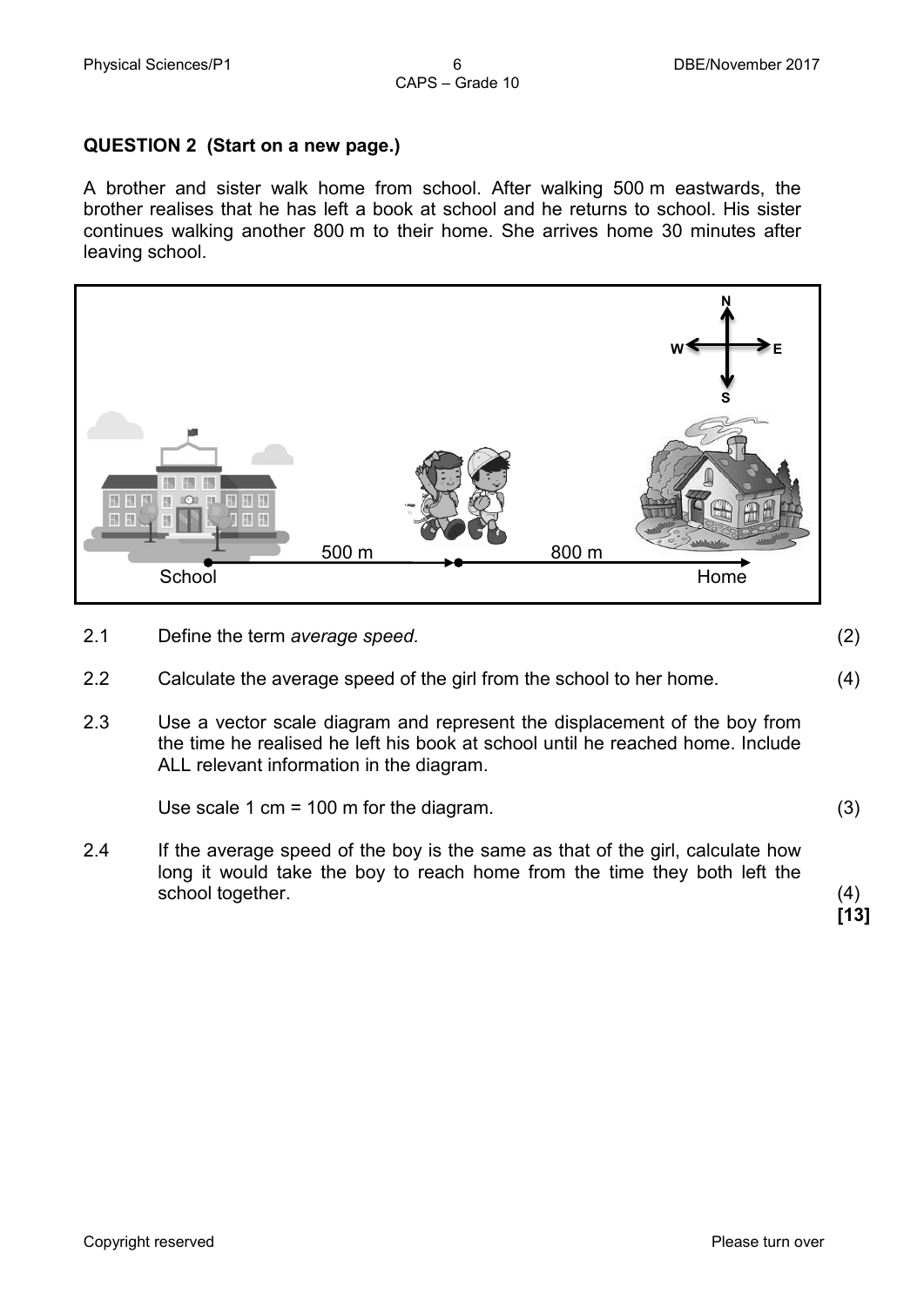#### **QUESTION 2 (Start on a new page.)**

A brother and sister walk home from school. After walking 500 m eastwards, the brother realises that he has left a book at school and he returns to school. His sister continues walking another 800 m to their home. She arrives home 30 minutes after leaving school.



- 2.1 Define the term *average speed.* (2)
- 2.2 Calculate the average speed of the girl from the school to her home. (4)
- 2.3 Use a vector scale diagram and represent the displacement of the boy from the time he realised he left his book at school until he reached home. Include ALL relevant information in the diagram.

Use scale 1 cm = 100 m for the diagram. (3)

2.4 If the average speed of the boy is the same as that of the girl, calculate how long it would take the boy to reach home from the time they both left the school together. (4)

**[13]**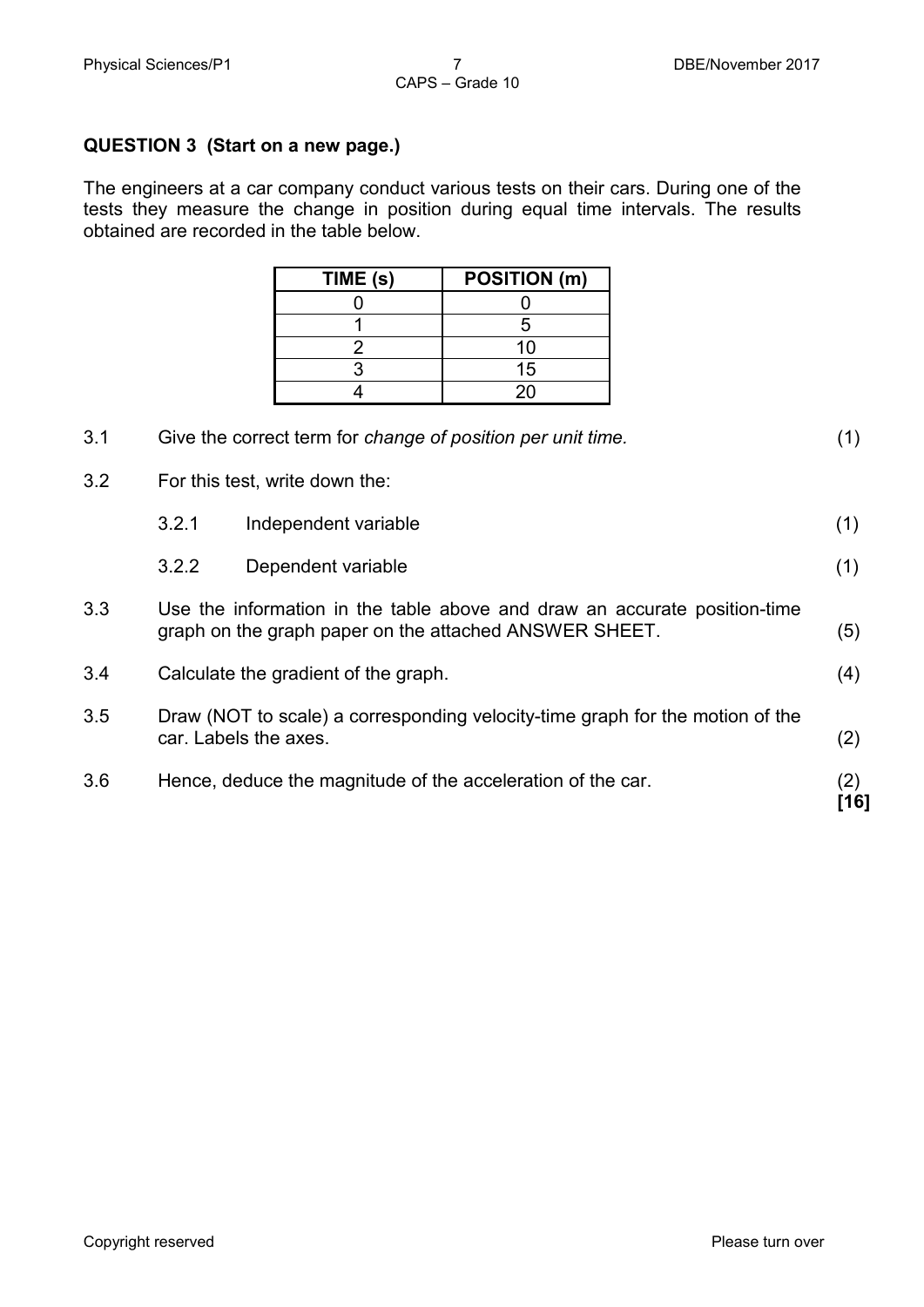#### **QUESTION 3 (Start on a new page.)**

The engineers at a car company conduct various tests on their cars. During one of the tests they measure the change in position during equal time intervals. The results obtained are recorded in the table below.

| TIME (s) | <b>POSITION (m)</b> |
|----------|---------------------|
|          |                     |
|          |                     |
|          | 10                  |
|          | 15                  |
|          | 20                  |

| 3.1 | Give the correct term for change of position per unit time.                                                                         |                      | (1)        |
|-----|-------------------------------------------------------------------------------------------------------------------------------------|----------------------|------------|
| 3.2 | For this test, write down the:                                                                                                      |                      |            |
|     | 3.2.1                                                                                                                               | Independent variable | (1)        |
|     | 3.2.2                                                                                                                               | Dependent variable   | (1)        |
| 3.3 | Use the information in the table above and draw an accurate position-time<br>graph on the graph paper on the attached ANSWER SHEET. |                      | (5)        |
| 3.4 | Calculate the gradient of the graph.                                                                                                |                      | (4)        |
| 3.5 | Draw (NOT to scale) a corresponding velocity-time graph for the motion of the<br>car. Labels the axes.                              |                      | (2)        |
| 3.6 | Hence, deduce the magnitude of the acceleration of the car.                                                                         |                      | (2)<br>161 |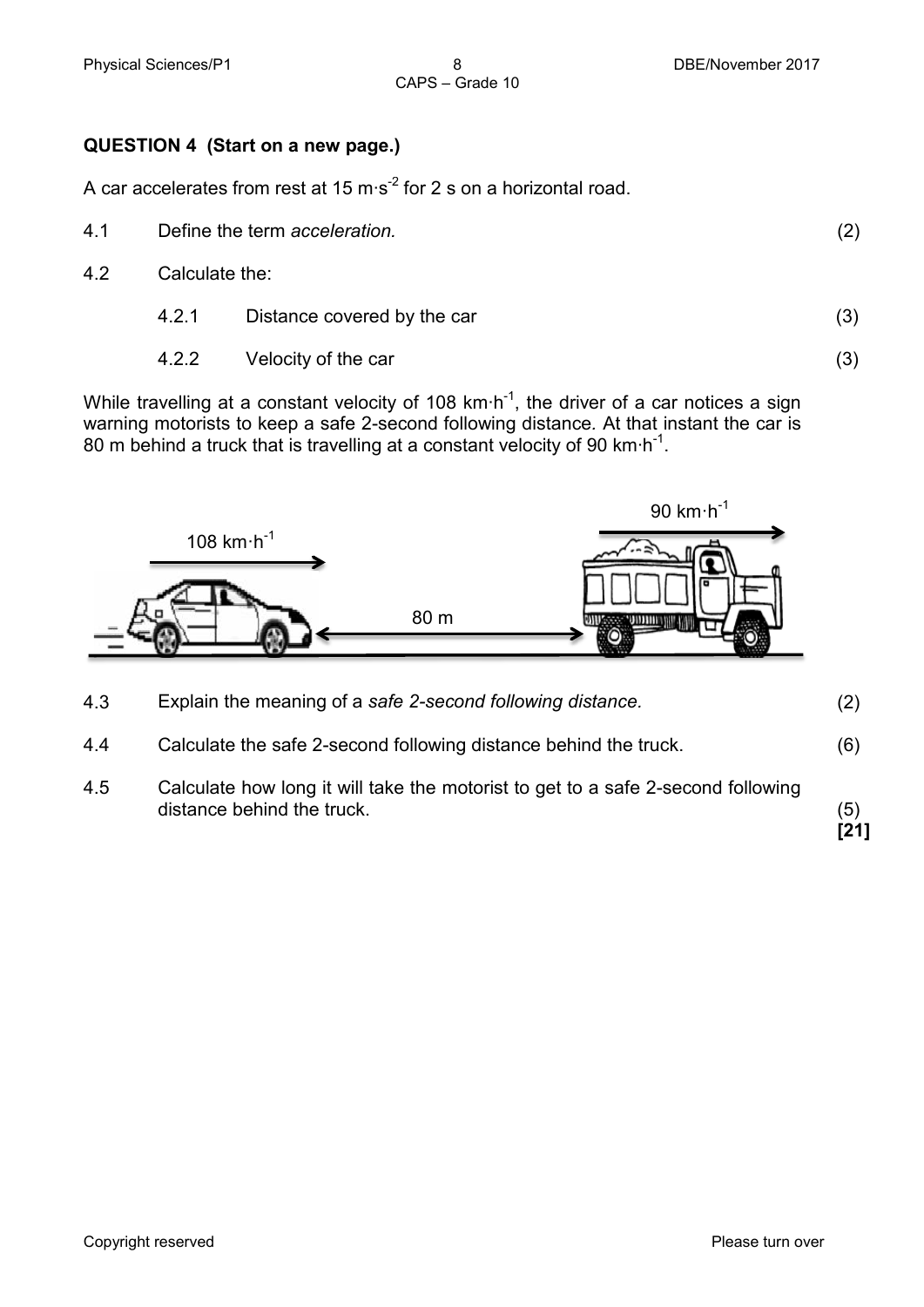#### **QUESTION 4 (Start on a new page.)**

A car accelerates from rest at 15 m⋅s<sup>-2</sup> for 2 s on a horizontal road.

4.1 Define the term *acceleration.* (2)

CAPS – Grade 10

- 4.2 Calculate the:
	- 4.2.1 Distance covered by the car (3)
	- 4.2.2 Velocity of the car (3)

While travelling at a constant velocity of 108 km⋅h<sup>-1</sup>, the driver of a car notices a sign warning motorists to keep a safe 2-second following distance*.* At that instant the car is 80 m behind a truck that is travelling at a constant velocity of 90 km⋅h<sup>-1</sup>.



| 4.3 | Explain the meaning of a safe 2-second following distance.       | (2) |
|-----|------------------------------------------------------------------|-----|
| 4.4 | Calculate the safe 2-second following distance behind the truck. | (6) |

4.5 Calculate how long it will take the motorist to get to a safe 2-second following distance behind the truck. (5) **[21]**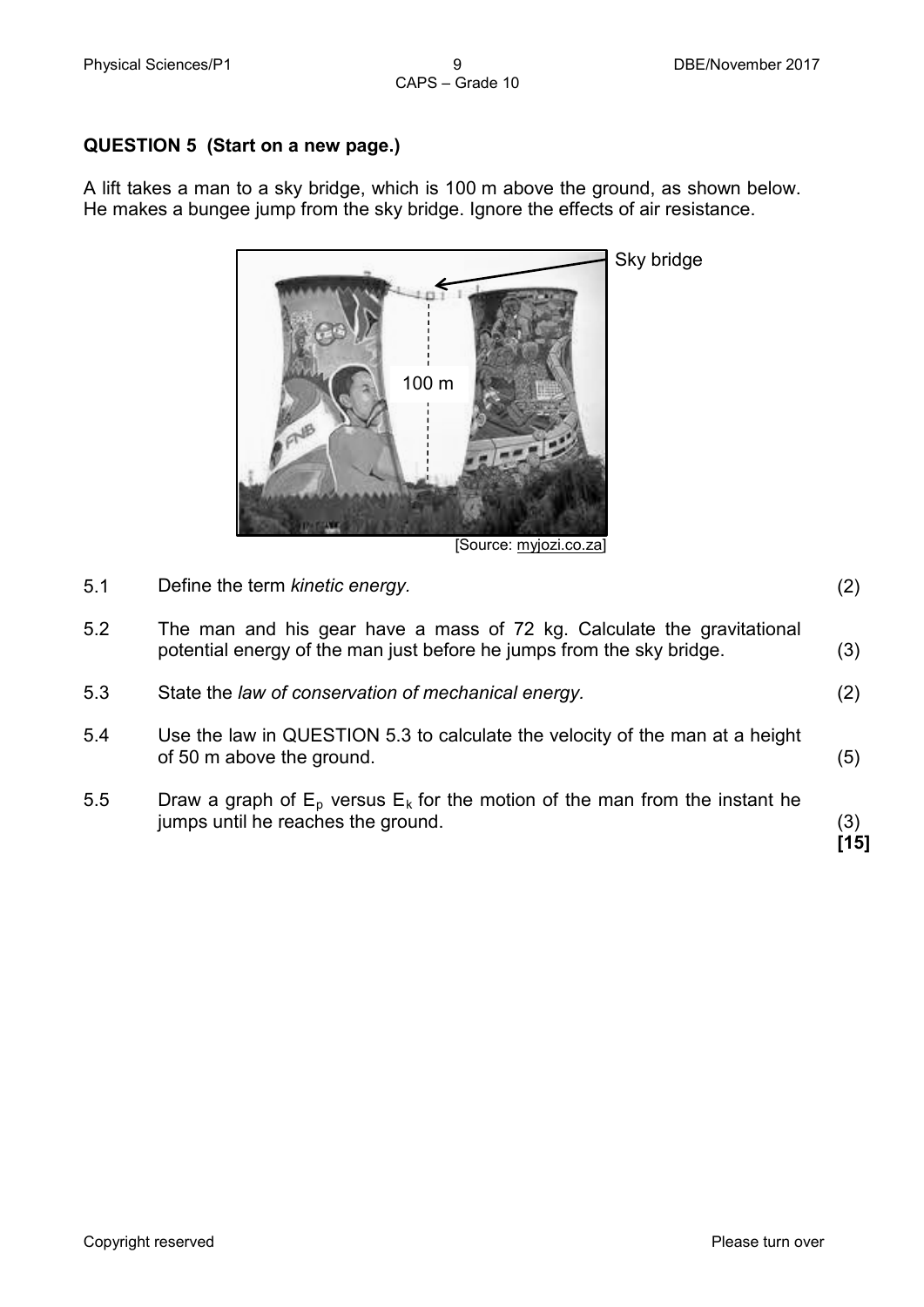#### **QUESTION 5 (Start on a new page.)**

A lift takes a man to a sky bridge, which is 100 m above the ground, as shown below. He makes a bungee jump from the sky bridge. Ignore the effects of air resistance.



[Source: myjozi.co.za]

- 5.1 Define the term *kinetic energy.* (2)
- 5.2 The man and his gear have a mass of 72 kg. Calculate the gravitational potential energy of the man just before he jumps from the sky bridge. (3)
- 5.3 State the *law of conservation of mechanical energy.* (2)
- 5.4 Use the law in QUESTION 5.3 to calculate the velocity of the man at a height of 50 m above the ground. (5)
- 5.5 Draw a graph of  $E_p$  versus  $E_k$  for the motion of the man from the instant he jumps until he reaches the ground. (3)

**[15]**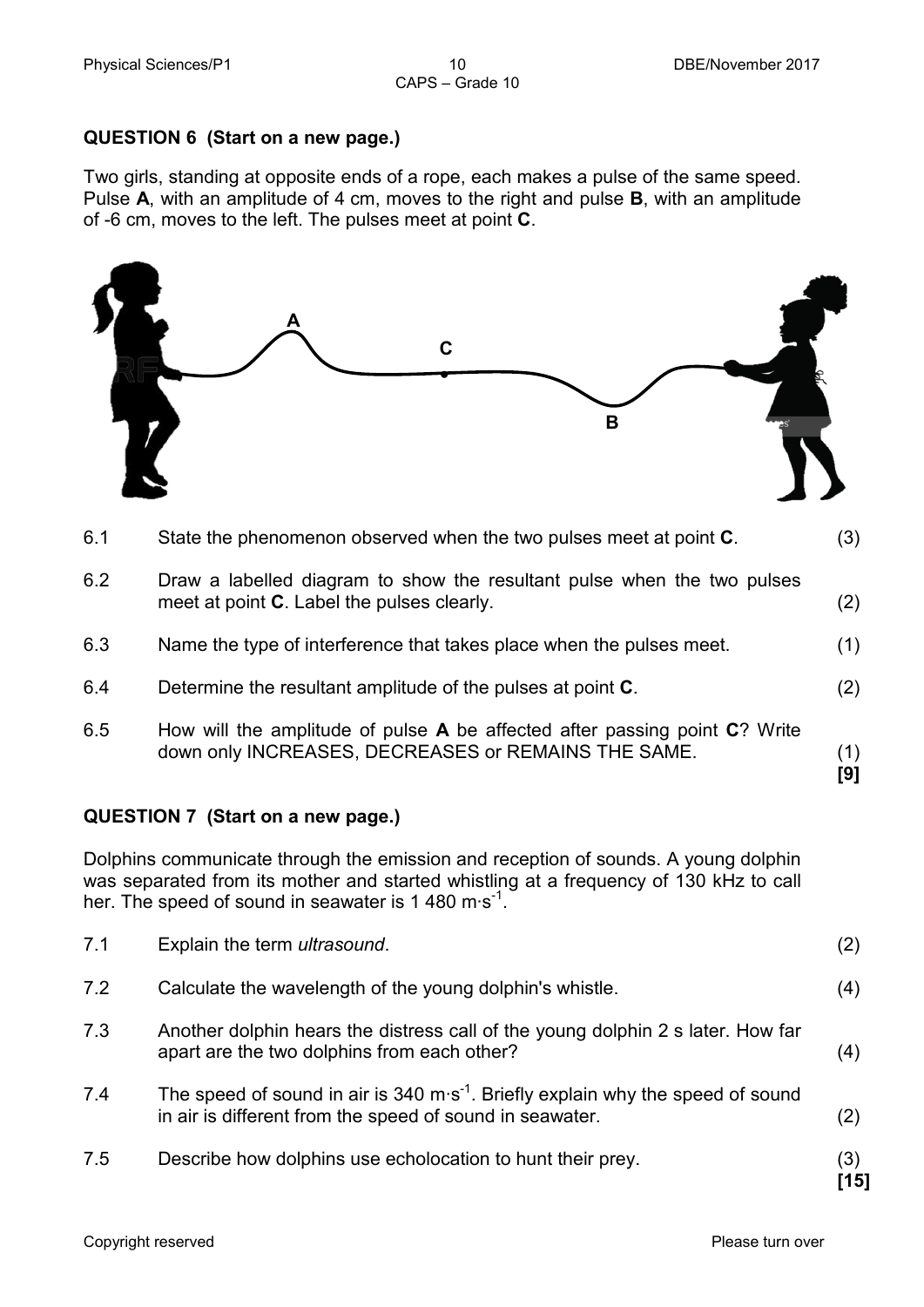#### **QUESTION 6 (Start on a new page.)**

Two girls, standing at opposite ends of a rope, each makes a pulse of the same speed. Pulse **A**, with an amplitude of 4 cm, moves to the right and pulse **B**, with an amplitude of -6 cm, moves to the left. The pulses meet at point **C**.

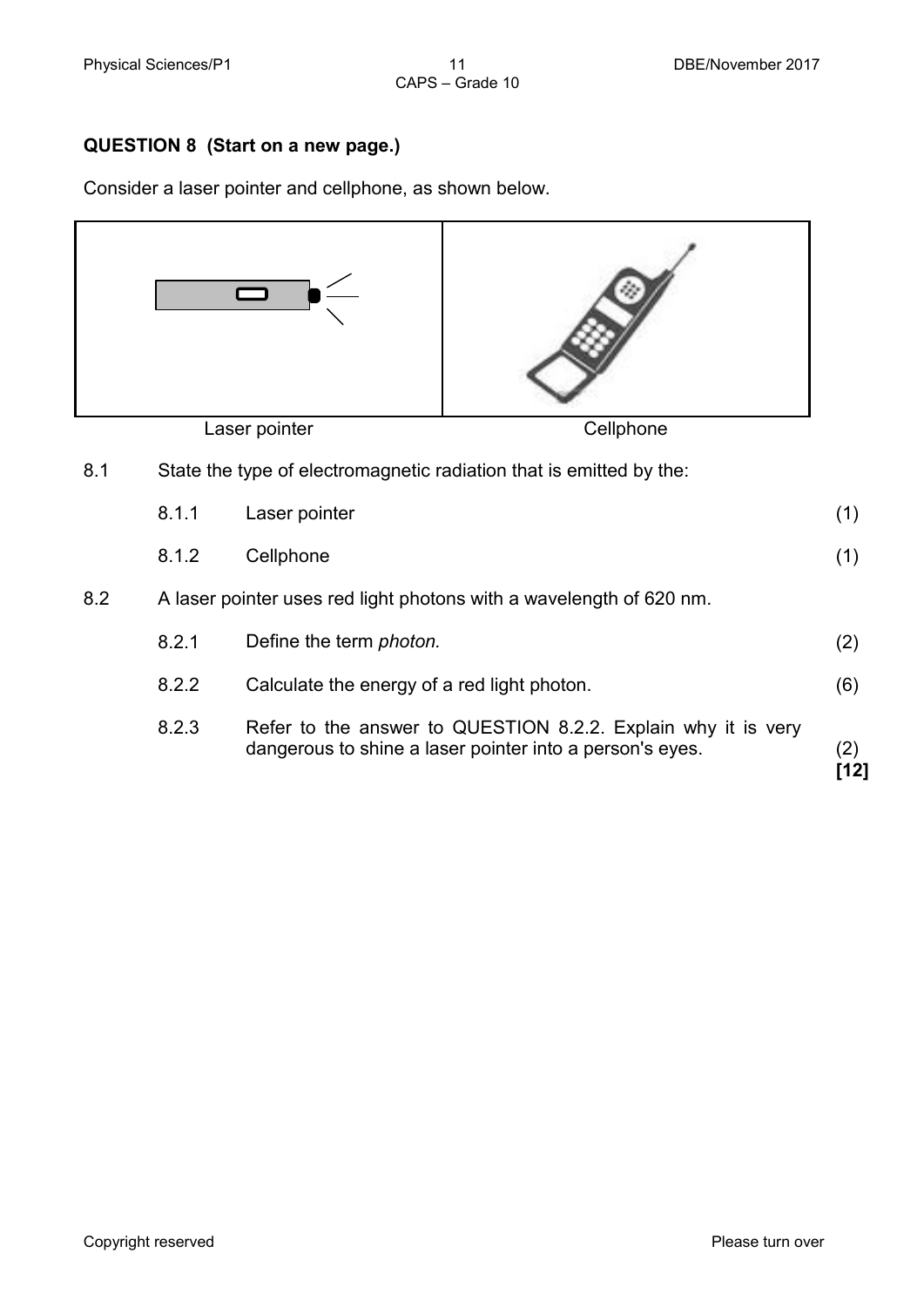#### **QUESTION 8 (Start on a new page.)**

Consider a laser pointer and cellphone, as shown below.

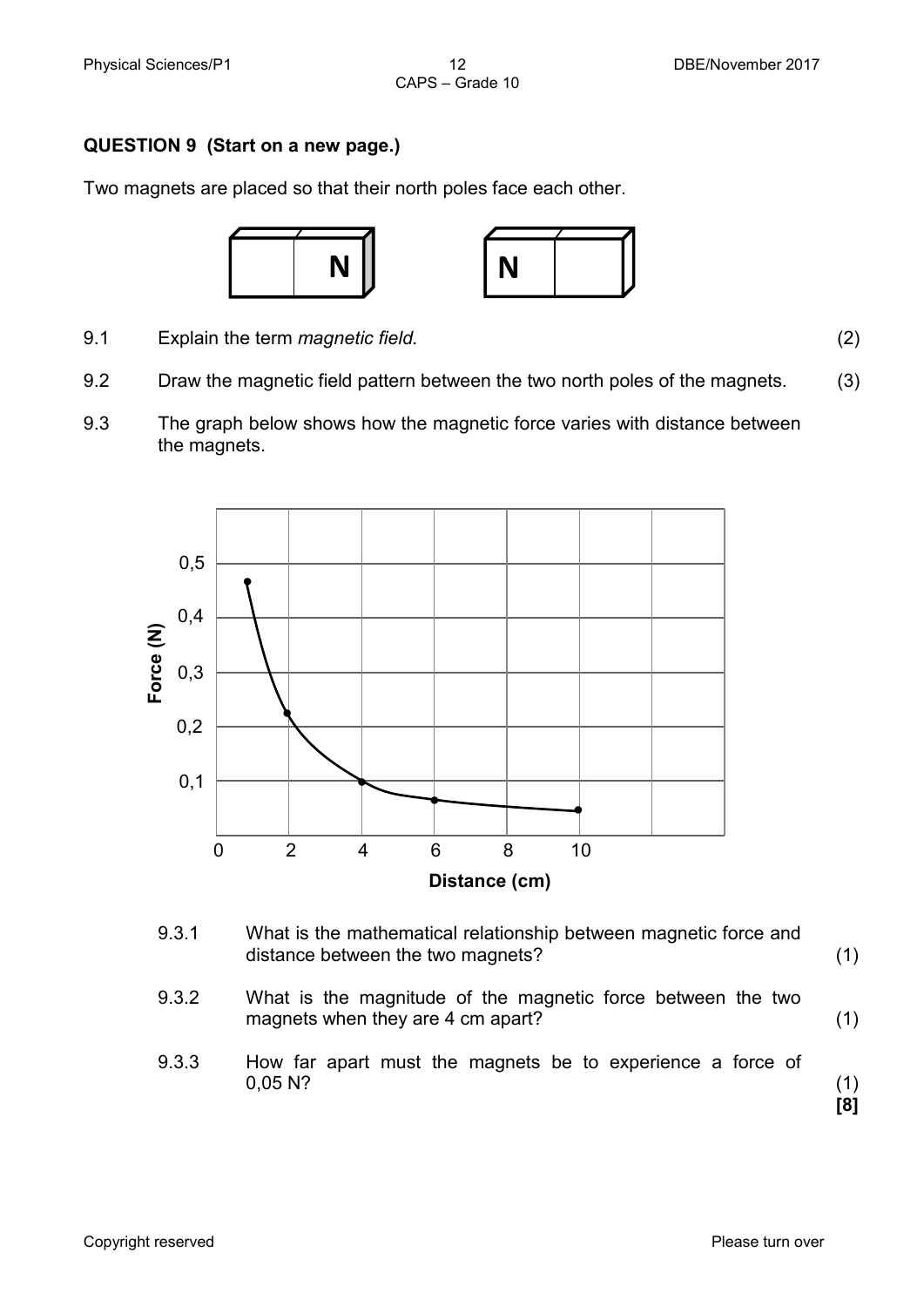#### **QUESTION 9 (Start on a new page.)**

Two magnets are placed so that their north poles face each other.



9.1 Explain the term *magnetic field.* (2)

- 9.2 Draw the magnetic field pattern between the two north poles of the magnets. (3)
- 9.3 The graph below shows how the magnetic force varies with distance between the magnets.



- 9.3.1 What is the mathematical relationship between magnetic force and distance between the two magnets? (1)
- 9.3.2 What is the magnitude of the magnetic force between the two magnets when they are 4 cm apart? (1)
- 9.3.3 How far apart must the magnets be to experience a force of 0.05 N?  $0,05 \, \text{N?}$  (1)

**[8]**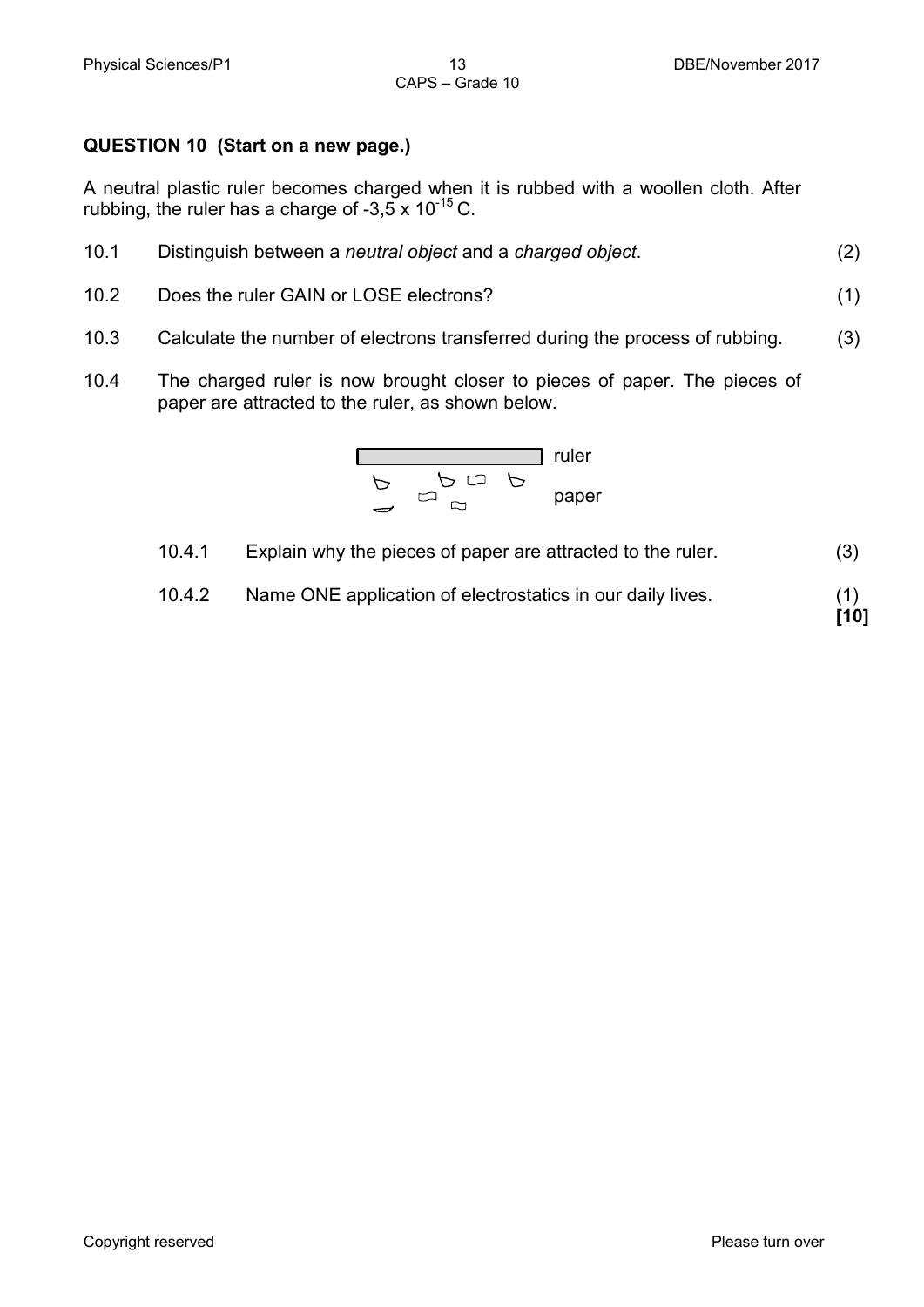#### **QUESTION 10 (Start on a new page.)**

A neutral plastic ruler becomes charged when it is rubbed with a woollen cloth. After rubbing, the ruler has a charge of  $-3,5 \times 10^{-15}$  C.

| 10.1 | Distinguish between a neutral object and a charged object. | (2) |
|------|------------------------------------------------------------|-----|
|      |                                                            |     |

10.2 Does the ruler GAIN or LOSE electrons? (1)

**[10]**

- 10.3 Calculate the number of electrons transferred during the process of rubbing. (3)
- 10.4 The charged ruler is now brought closer to pieces of paper. The pieces of paper are attracted to the ruler, as shown below.

$$
\begin{array}{c|c}\n & \text{rule} \\
\hline\n & \rightarrow & \rightarrow & \rightarrow \\
\hline\n & \rightarrow & \rightarrow & \text{paper} \\
\hline\n & \rightarrow & \rightarrow & \text{paper}\n\end{array}
$$

10.4.1 Explain why the pieces of paper are attracted to the ruler. (3)

10.4.2 Name ONE application of electrostatics in our daily lives. (1)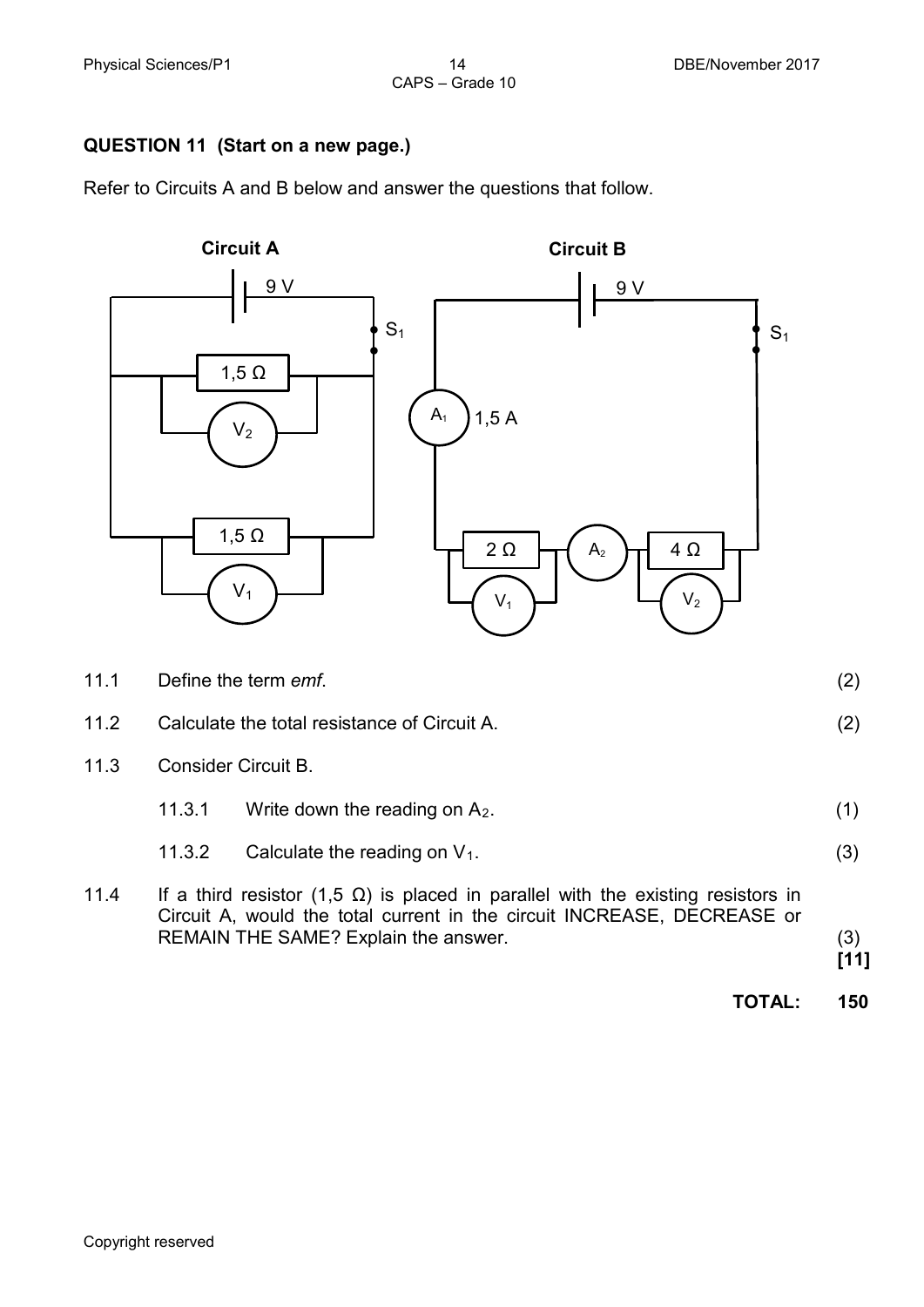## CAPS – Grade 10

#### **QUESTION 11 (Start on a new page.)**

Refer to Circuits A and B below and answer the questions that follow.



11.3 Consider Circuit B.

|  | 11.3.1 | Write down the reading on $A_2$ . |  |
|--|--------|-----------------------------------|--|
|--|--------|-----------------------------------|--|

- 11.3.2 Calculate the reading on  $V_1$ . (3)
- 11.4 If a third resistor (1,5  $\Omega$ ) is placed in parallel with the existing resistors in Circuit A, would the total current in the circuit INCREASE, DECREASE or REMAIN THE SAME? Explain the answer. (3)

**[11]**

**TOTAL: 150**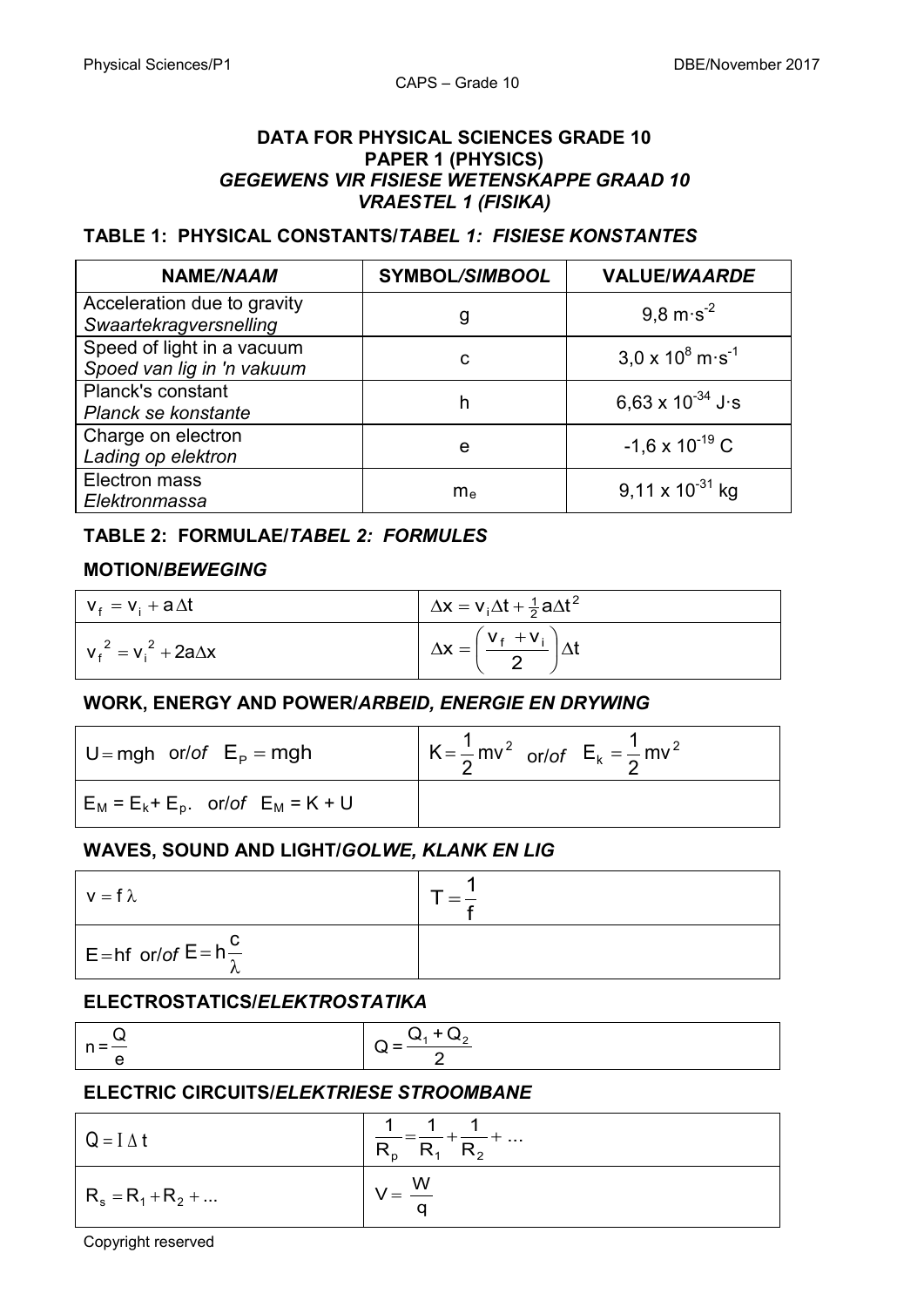#### **DATA FOR PHYSICAL SCIENCES GRADE 10 PAPER 1 (PHYSICS)** *GEGEWENS VIR FISIESE WETENSKAPPE GRAAD 10 VRAESTEL 1 (FISIKA)*

#### **TABLE 1: PHYSICAL CONSTANTS/***TABEL 1: FISIESE KONSTANTES*

| <b>NAME/NAAM</b>                                         | <b>SYMBOL/SIMBOOL</b> | <b>VALUE/WAARDE</b>                 |
|----------------------------------------------------------|-----------------------|-------------------------------------|
| Acceleration due to gravity<br>Swaartekragversnelling    | g                     | $9.8 \text{ m} \cdot \text{s}^{-2}$ |
| Speed of light in a vacuum<br>Spoed van lig in 'n vakuum | С                     | $3.0 \times 10^8$ m s <sup>-1</sup> |
| <b>Planck's constant</b><br>Planck se konstante          | h                     | 6,63 x $10^{-34}$ J s               |
| Charge on electron<br>Lading op elektron                 | e                     | $-1,6 \times 10^{-19}$ C            |
| Electron mass<br>Elektronmassa                           | m <sub>e</sub>        | 9,11 x $10^{-31}$ kg                |

#### **TABLE 2: FORMULAE/***TABEL 2: FORMULES*

#### **MOTION/***BEWEGING*

| $V_f = V_i + a \Delta t$     | $\Delta x = v_i \Delta t + \frac{1}{2} a \Delta t^2$   |
|------------------------------|--------------------------------------------------------|
| $v_f^2 = v_i^2 + 2a\Delta x$ | $\Delta x = \left(\frac{v_f + v_i}{2}\right) \Delta t$ |

#### **WORK, ENERGY AND POWER/***ARBEID, ENERGIE EN DRYWING*

| $U = mgh$ or/of $E_p = mgh$             | $K = \frac{1}{2}mv^2$ or/of $E_k = \frac{1}{2}mv^2$ |
|-----------------------------------------|-----------------------------------------------------|
| $E_M = E_k + E_p$ . or/of $E_M = K + U$ |                                                     |

#### **WAVES, SOUND AND LIGHT/***GOLWE, KLANK EN LIG*

| $v = f \lambda$                          |  |
|------------------------------------------|--|
| $E = hf$ or/of $E = h \frac{U}{\lambda}$ |  |

#### **ELECTROSTATICS/***ELEKTROSTATIKA*

| - 11 |                       |  |
|------|-----------------------|--|
|      | $n -$<br>$\cdots$ $-$ |  |

#### **ELECTRIC CIRCUITS/***ELEKTRIESE STROOMBANE*

| $Q = I \Delta t$     | $- =$ $\frac{1}{R_1} + \frac{1}{R_2} + $<br>$R_{p}$ |
|----------------------|-----------------------------------------------------|
| $R_s = R_1 + R_2 + $ | W<br>a                                              |

Copyright reserved